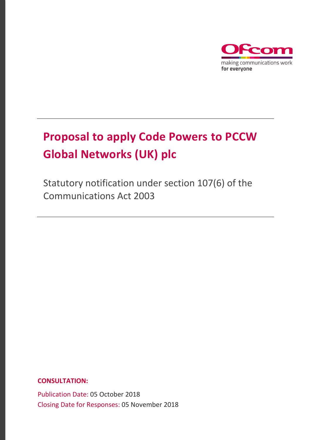

# **Proposal to apply Code Powers to PCCW Global Networks (UK) plc**

Statutory notification under section 107(6) of the Communications Act 2003

### **CONSULTATION:**

Publication Date: 05 October 2018 Closing Date for Responses: 05 November 2018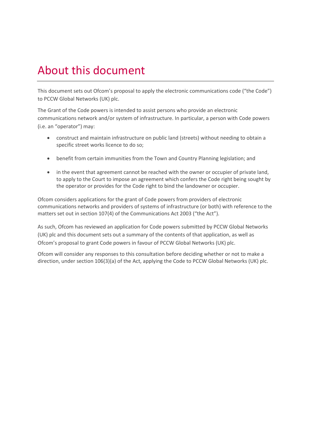# About this document

This document sets out Ofcom's proposal to apply the electronic communications code ("the Code") to PCCW Global Networks (UK) plc.

The Grant of the Code powers is intended to assist persons who provide an electronic communications network and/or system of infrastructure. In particular, a person with Code powers (i.e. an "operator") may:

- construct and maintain infrastructure on public land (streets) without needing to obtain a specific street works licence to do so;
- benefit from certain immunities from the Town and Country Planning legislation; and
- in the event that agreement cannot be reached with the owner or occupier of private land, to apply to the Court to impose an agreement which confers the Code right being sought by the operator or provides for the Code right to bind the landowner or occupier.

Ofcom considers applications for the grant of Code powers from providers of electronic communications networks and providers of systems of infrastructure (or both) with reference to the matters set out in section 107(4) of the Communications Act 2003 ("the Act").

As such, Ofcom has reviewed an application for Code powers submitted by PCCW Global Networks (UK) plc and this document sets out a summary of the contents of that application, as well as Ofcom's proposal to grant Code powers in favour of PCCW Global Networks (UK) plc.

Ofcom will consider any responses to this consultation before deciding whether or not to make a direction, under section 106(3)(a) of the Act, applying the Code to PCCW Global Networks (UK) plc.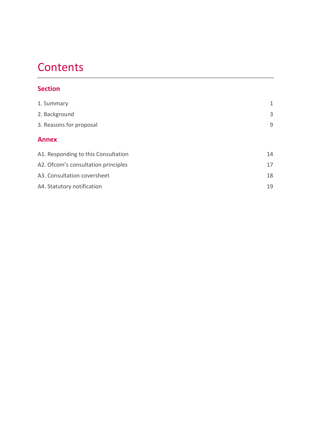# **Contents**

## **Section**

| 1. Summary                          | 1  |
|-------------------------------------|----|
| 2. Background                       | 3  |
| 3. Reasons for proposal             | 9  |
| <b>Annex</b>                        |    |
| A1. Responding to this Consultation | 14 |
| A2. Ofcom's consultation principles | 17 |
| A3. Consultation coversheet         | 18 |
| A4. Statutory notification          | 19 |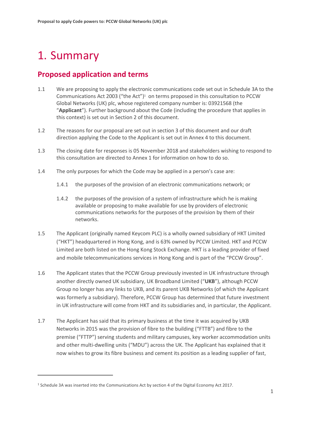# <span id="page-3-0"></span>1. Summary

 $\overline{a}$ 

# **Proposed application and terms**

- 1.1 We are proposing to apply the electronic communications code set out in Schedule 3A to the Communications Act 2003 ("the Act")<sup>1</sup> on terms proposed in this consultation to PCCW Global Networks (UK) plc, whose registered company number is: 03921568 (the "**Applicant**"). Further background about the Code (including the procedure that applies in this context) is set out in Section 2 of this document.
- 1.2 The reasons for our proposal are set out in section 3 of this document and our draft direction applying the Code to the Applicant is set out in Annex 4 to this document.
- 1.3 The closing date for responses is 05 November 2018 and stakeholders wishing to respond to this consultation are directed to Annex 1 for information on how to do so.
- 1.4 The only purposes for which the Code may be applied in a person's case are:
	- 1.4.1 the purposes of the provision of an electronic communications network; or
	- 1.4.2 the purposes of the provision of a system of infrastructure which he is making available or proposing to make available for use by providers of electronic communications networks for the purposes of the provision by them of their networks.
- 1.5 The Applicant (originally named Keycom PLC) is a wholly owned subsidiary of HKT Limited ("HKT") headquartered in Hong Kong, and is 63% owned by PCCW Limited. HKT and PCCW Limited are both listed on the Hong Kong Stock Exchange. HKT is a leading provider of fixed and mobile telecommunications services in Hong Kong and is part of the "PCCW Group".
- 1.6 The Applicant states that the PCCW Group previously invested in UK infrastructure through another directly owned UK subsidiary, UK Broadband Limited ("**UKB**"), although PCCW Group no longer has any links to UKB, and its parent UKB Networks (of which the Applicant was formerly a subsidiary). Therefore, PCCW Group has determined that future investment in UK infrastructure will come from HKT and its subsidiaries and, in particular, the Applicant.
- 1.7 The Applicant has said that its primary business at the time it was acquired by UKB Networks in 2015 was the provision of fibre to the building ("FTTB") and fibre to the premise ("FTTP") serving students and military campuses, key worker accommodation units and other multi-dwelling units ("MDU") across the UK. The Applicant has explained that it now wishes to grow its fibre business and cement its position as a leading supplier of fast,

<sup>1</sup> Schedule 3A was inserted into the Communications Act by section 4 of the Digital Economy Act 2017.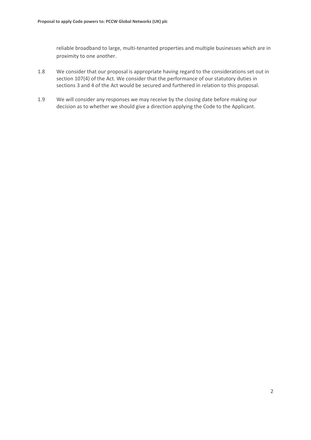reliable broadband to large, multi-tenanted properties and multiple businesses which are in proximity to one another.

- 1.8 We consider that our proposal is appropriate having regard to the considerations set out in section 107(4) of the Act. We consider that the performance of our statutory duties in sections 3 and 4 of the Act would be secured and furthered in relation to this proposal.
- 1.9 We will consider any responses we may receive by the closing date before making our decision as to whether we should give a direction applying the Code to the Applicant.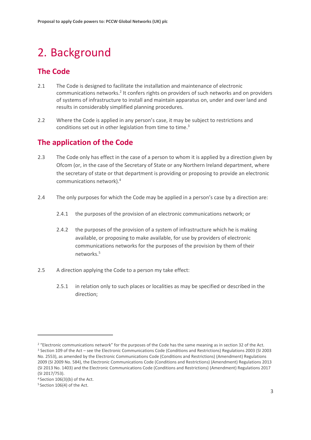# <span id="page-5-0"></span>2. Background

# **The Code**

- 2.1 The Code is designed to facilitate the installation and maintenance of electronic communications networks.<sup>2</sup> It confers rights on providers of such networks and on providers of systems of infrastructure to install and maintain apparatus on, under and over land and results in considerably simplified planning procedures.
- 2.2 Where the Code is applied in any person's case, it may be subject to restrictions and conditions set out in other legislation from time to time.<sup>3</sup>

# **The application of the Code**

- 2.3 The Code only has effect in the case of a person to whom it is applied by a direction given by Ofcom (or, in the case of the Secretary of State or any Northern Ireland department, where the secretary of state or that department is providing or proposing to provide an electronic communications network).<sup>4</sup>
- 2.4 The only purposes for which the Code may be applied in a person's case by a direction are:
	- 2.4.1 the purposes of the provision of an electronic communications network; or
	- 2.4.2 the purposes of the provision of a system of infrastructure which he is making available, or proposing to make available, for use by providers of electronic communications networks for the purposes of the provision by them of their networks.<sup>5</sup>
- 2.5 A direction applying the Code to a person my take effect:
	- 2.5.1 in relation only to such places or localities as may be specified or described in the direction;

<sup>&</sup>lt;sup>2</sup> "Electronic communications network" for the purposes of the Code has the same meaning as in section 32 of the Act. <sup>3</sup> Section 109 of the Act – see the Electronic Communications Code (Conditions and Restrictions) Regulations 2003 (SI 2003 No. 2553), as amended by the Electronic Communications Code (Conditions and Restrictions) (Amendment) Regulations 2009 (SI 2009 No. 584), the Electronic Communications Code (Conditions and Restrictions) (Amendment) Regulations 2013 (SI 2013 No. 1403) and the Electronic Communications Code (Conditions and Restrictions) (Amendment) Regulations 2017 (SI 2017/753).

<sup>4</sup>Section 106(3)(b) of the Act.

<sup>5</sup> Section 106(4) of the Act.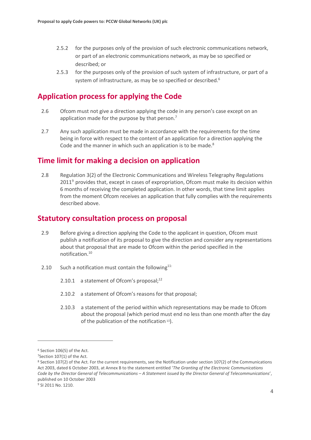- 2.5.2 for the purposes only of the provision of such electronic communications network, or part of an electronic communications network, as may be so specified or described; or
- 2.5.3 for the purposes only of the provision of such system of infrastructure, or part of a system of infrastructure, as may be so specified or described.<sup>6</sup>

## **Application process for applying the Code**

- 2.6 Ofcom must not give a direction applying the code in any person's case except on an application made for the purpose by that person.<sup>7</sup>
- 2.7 Any such application must be made in accordance with the requirements for the time being in force with respect to the content of an application for a direction applying the Code and the manner in which such an application is to be made.<sup>8</sup>

### **Time limit for making a decision on application**

2.8 Regulation 3(2) of the Electronic Communications and Wireless Telegraphy Regulations 2011<sup>9</sup> provides that, except in cases of expropriation, Ofcom must make its decision within 6 months of receiving the completed application. In other words, that time limit applies from the moment Ofcom receives an application that fully complies with the requirements described above.

### **Statutory consultation process on proposal**

- 2.9 Before giving a direction applying the Code to the applicant in question, Ofcom must publish a notification of its proposal to give the direction and consider any representations about that proposal that are made to Ofcom within the period specified in the notification.<sup>10</sup>
- 2.10 Such a notification must contain the following<sup>11:</sup>
	- 2.10.1 a statement of Ofcom's proposal; $^{12}$
	- 2.10.2 a statement of Ofcom's reasons for that proposal;
	- 2.10.3 a statement of the period within which representations may be made to Ofcom about the proposal (which period must end no less than one month after the day of the publication of the notification <sup>13</sup>).

<sup>6</sup> Section 106(5) of the Act.

<sup>7</sup>Section 107(1) of the Act.

<sup>8</sup> Section 107(2) of the Act. For the current requirements, see the Notification under section 107(2) of the Communications Act 2003, dated 6 October 2003, at Annex B to the statement entitled '*The Granting of the Electronic Communications Code by the Director General of Telecommunications – A Statement issued by the Director General of Telecommunications*', published on 10 October 2003

<sup>&</sup>lt;sup>9</sup> SI 2011 No. 1210.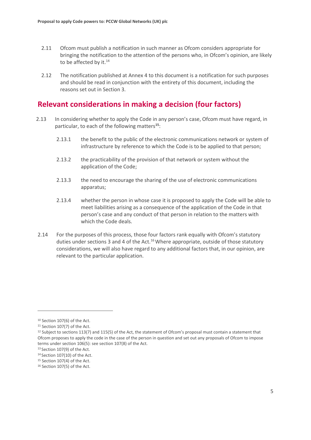- 2.11 Ofcom must publish a notification in such manner as Ofcom considers appropriate for bringing the notification to the attention of the persons who, in Ofcom's opinion, are likely to be affected by it.<sup>14</sup>
- 2.12 The notification published at Annex 4 to this document is a notification for such purposes and should be read in conjunction with the entirety of this document, including the reasons set out in Section 3.

## **Relevant considerations in making a decision (four factors)**

- 2.13 In considering whether to apply the Code in any person's case, Ofcom must have regard, in particular, to each of the following matters**<sup>15</sup>**:
	- 2.13.1 the benefit to the public of the electronic communications network or system of infrastructure by reference to which the Code is to be applied to that person;
	- 2.13.2 the practicability of the provision of that network or system without the application of the Code;
	- 2.13.3 the need to encourage the sharing of the use of electronic communications apparatus;
	- 2.13.4 whether the person in whose case it is proposed to apply the Code will be able to meet liabilities arising as a consequence of the application of the Code in that person's case and any conduct of that person in relation to the matters with which the Code deals.
- 2.14 For the purposes of this process, those four factors rank equally with Ofcom's statutory duties under sections 3 and 4 of the Act.<sup>16</sup> Where appropriate, outside of those statutory considerations, we will also have regard to any additional factors that, in our opinion, are relevant to the particular application.

<sup>10</sup> Section 107(6) of the Act.

<sup>11</sup> Section 107(7) of the Act.

 $12$  Subject to sections 113(7) and 115(5) of the Act, the statement of Ofcom's proposal must contain a statement that Ofcom proposes to apply the code in the case of the person in question and set out any proposals of Ofcom to impose terms under section 106(5): see section 107(8) of the Act.

<sup>13</sup> Section 107(9) of the Act.

 $14$  Section 107(10) of the Act.

<sup>&</sup>lt;sup>15</sup> Section 107(4) of the Act.

<sup>16</sup> Section 107(5) of the Act.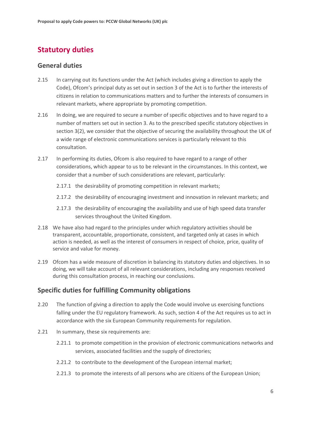# **Statutory duties**

#### **General duties**

- 2.15 In carrying out its functions under the Act (which includes giving a direction to apply the Code), Ofcom's principal duty as set out in section 3 of the Act is to further the interests of citizens in relation to communications matters and to further the interests of consumers in relevant markets, where appropriate by promoting competition.
- 2.16 In doing, we are required to secure a number of specific objectives and to have regard to a number of matters set out in section 3. As to the prescribed specific statutory objectives in section 3(2), we consider that the objective of securing the availability throughout the UK of a wide range of electronic communications services is particularly relevant to this consultation.
- 2.17 In performing its duties, Ofcom is also required to have regard to a range of other considerations, which appear to us to be relevant in the circumstances. In this context, we consider that a number of such considerations are relevant, particularly:
	- 2.17.1 the desirability of promoting competition in relevant markets;
	- 2.17.2 the desirability of encouraging investment and innovation in relevant markets; and
	- 2.17.3 the desirability of encouraging the availability and use of high speed data transfer services throughout the United Kingdom.
- 2.18 We have also had regard to the principles under which regulatory activities should be transparent, accountable, proportionate, consistent, and targeted only at cases in which action is needed, as well as the interest of consumers in respect of choice, price, quality of service and value for money.
- 2.19 Ofcom has a wide measure of discretion in balancing its statutory duties and objectives. In so doing, we will take account of all relevant considerations, including any responses received during this consultation process, in reaching our conclusions.

#### **Specific duties for fulfilling Community obligations**

- 2.20 The function of giving a direction to apply the Code would involve us exercising functions falling under the EU regulatory framework. As such, section 4 of the Act requires us to act in accordance with the six European Community requirements for regulation.
- 2.21 In summary, these six requirements are:
	- 2.21.1 to promote competition in the provision of electronic communications networks and services, associated facilities and the supply of directories;
	- 2.21.2 to contribute to the development of the European internal market;
	- 2.21.3 to promote the interests of all persons who are citizens of the European Union;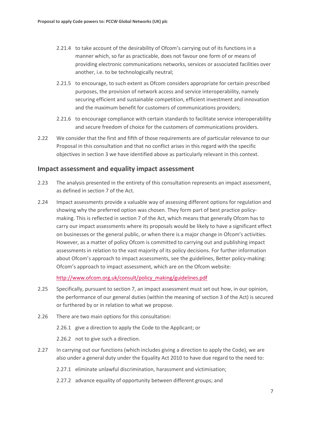- 2.21.4 to take account of the desirability of Ofcom's carrying out of its functions in a manner which, so far as practicable, does not favour one form of or means of providing electronic communications networks, services or associated facilities over another, i.e. to be technologically neutral;
- 2.21.5 to encourage, to such extent as Ofcom considers appropriate for certain prescribed purposes, the provision of network access and service interoperability, namely securing efficient and sustainable competition, efficient investment and innovation and the maximum benefit for customers of communications providers;
- 2.21.6 to encourage compliance with certain standards to facilitate service interoperability and secure freedom of choice for the customers of communications providers.
- 2.22 We consider that the first and fifth of those requirements are of particular relevance to our Proposal in this consultation and that no conflict arises in this regard with the specific objectives in section 3 we have identified above as particularly relevant in this context.

#### **Impact assessment and equality impact assessment**

- 2.23 The analysis presented in the entirety of this consultation represents an impact assessment, as defined in section 7 of the Act.
- 2.24 Impact assessments provide a valuable way of assessing different options for regulation and showing why the preferred option was chosen. They form part of best practice policymaking. This is reflected in section 7 of the Act, which means that generally Ofcom has to carry our impact assessments where its proposals would be likely to have a significant effect on businesses or the general public, or when there is a major change in Ofcom's activities. However, as a matter of policy Ofcom is committed to carrying out and publishing impact assessments in relation to the vast majority of its policy decisions. For further information about Ofcom's approach to impact assessments, see the guidelines, Better policy-making: Ofcom's approach to impact assessment, which are on the Ofcom website:

[http://www.ofcom.org.uk/consult/policy\\_making/guidelines.pdf](http://www.ofcom.org.uk/consult/policy_making/guidelines.pdf)

- 2.25 Specifically, pursuant to section 7, an impact assessment must set out how, in our opinion, the performance of our general duties (within the meaning of section 3 of the Act) is secured or furthered by or in relation to what we propose.
- 2.26 There are two main options for this consultation:
	- 2.26.1 give a direction to apply the Code to the Applicant; or
	- 2.26.2 not to give such a direction.
- 2.27 In carrying out our functions (which includes giving a direction to apply the Code), we are also under a general duty under the Equality Act 2010 to have due regard to the need to:
	- 2.27.1 eliminate unlawful discrimination, harassment and victimisation;
	- 2.27.2 advance equality of opportunity between different groups; and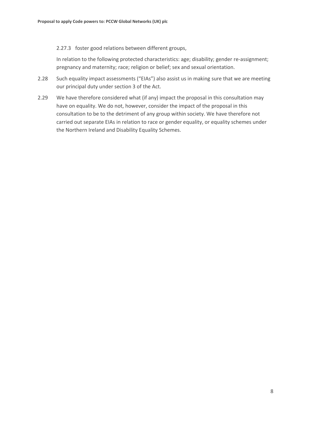#### 2.27.3 foster good relations between different groups,

In relation to the following protected characteristics: age; disability; gender re-assignment; pregnancy and maternity; race; religion or belief; sex and sexual orientation.

- 2.28 Such equality impact assessments ("EIAs") also assist us in making sure that we are meeting our principal duty under section 3 of the Act.
- 2.29 We have therefore considered what (if any) impact the proposal in this consultation may have on equality. We do not, however, consider the impact of the proposal in this consultation to be to the detriment of any group within society. We have therefore not carried out separate EIAs in relation to race or gender equality, or equality schemes under the Northern Ireland and Disability Equality Schemes.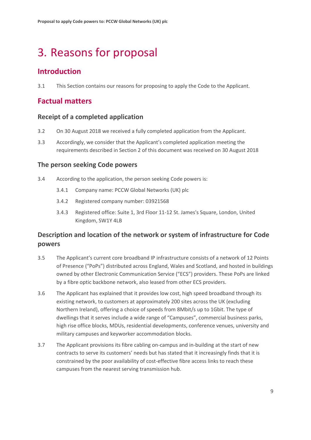# <span id="page-11-0"></span>3. Reasons for proposal

## **Introduction**

3.1 This Section contains our reasons for proposing to apply the Code to the Applicant.

## **Factual matters**

### **Receipt of a completed application**

- 3.2 On 30 August 2018 we received a fully completed application from the Applicant.
- 3.3 Accordingly, we consider that the Applicant's completed application meeting the requirements described in Section 2 of this document was received on 30 August 2018

### **The person seeking Code powers**

- 3.4 According to the application, the person seeking Code powers is:
	- 3.4.1 Company name: PCCW Global Networks (UK) plc
	- 3.4.2 Registered company number: 03921568
	- 3.4.3 Registered office: Suite 1, 3rd Floor 11-12 St. James's Square, London, United Kingdom, SW1Y 4LB

### **Description and location of the network or system of infrastructure for Code powers**

- 3.5 The Applicant's current core broadband IP infrastructure consists of a network of 12 Points of Presence ("PoPs") distributed across England, Wales and Scotland, and hosted in buildings owned by other Electronic Communication Service ("ECS") providers. These PoPs are linked by a fibre optic backbone network, also leased from other ECS providers.
- 3.6 The Applicant has explained that it provides low cost, high speed broadband through its existing network, to customers at approximately 200 sites across the UK (excluding Northern Ireland), offering a choice of speeds from 8Mbit/s up to 1Gbit. The type of dwellings that it serves include a wide range of "Campuses", commercial business parks, high rise office blocks, MDUs, residential developments, conference venues, university and military campuses and keyworker accommodation blocks.
- 3.7 The Applicant provisions its fibre cabling on-campus and in-building at the start of new contracts to serve its customers' needs but has stated that it increasingly finds that it is constrained by the poor availability of cost-effective fibre access links to reach these campuses from the nearest serving transmission hub.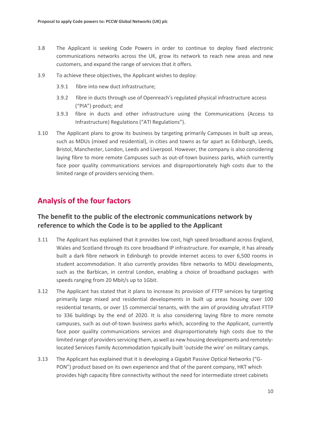- 3.8 The Applicant is seeking Code Powers in order to continue to deploy fixed electronic communications networks across the UK, grow its network to reach new areas and new customers, and expand the range of services that it offers.
- 3.9 To achieve these objectives, the Applicant wishes to deploy:
	- 3.9.1 fibre into new duct infrastructure;
	- 3.9.2 fibre in ducts through use of Openreach's regulated physical infrastructure access ("PIA") product; and
	- 3.9.3 fibre in ducts and other infrastructure using the Communications (Access to Infrastructure) Regulations ("ATI Regulations").
- 3.10 The Applicant plans to grow its business by targeting primarily Campuses in built up areas, such as MDUs (mixed and residential), in cities and towns as far apart as Edinburgh, Leeds, Bristol, Manchester, London, Leeds and Liverpool. However, the company is also considering laying fibre to more remote Campuses such as out-of-town business parks, which currently face poor quality communications services and disproportionately high costs due to the limited range of providers servicing them.

## **Analysis of the four factors**

### **The benefit to the public of the electronic communications network by reference to which the Code is to be applied to the Applicant**

- 3.11 The Applicant has explained that it provides low cost, high speed broadband across England, Wales and Scotland through its core broadband IP infrastructure. For example, it has already built a dark fibre network in Edinburgh to provide internet access to over 6,500 rooms in student accommodation. It also currently provides fibre networks to MDU developments, such as the Barbican, in central London, enabling a choice of broadband packages with speeds ranging from 20 Mbit/s up to 1Gbit.
- 3.12 The Applicant has stated that it plans to increase its provision of FTTP services by targeting primarily large mixed and residential developments in built up areas housing over 100 residential tenants, or over 15 commercial tenants, with the aim of providing ultrafast FTTP to 336 buildings by the end of 2020. It is also considering laying fibre to more remote campuses, such as out-of-town business parks which, according to the Applicant, currently face poor quality communications services and disproportionately high costs due to the limited range of providers servicing them, aswell as new housing developments and remotelylocated Services Family Accommodation typically built 'outside the wire' on military camps.
- 3.13 The Applicant has explained that it is developing a Gigabit Passive Optical Networks ("G-PON") product based on its own experience and that of the parent company, HKT which provides high capacity fibre connectivity without the need for intermediate street cabinets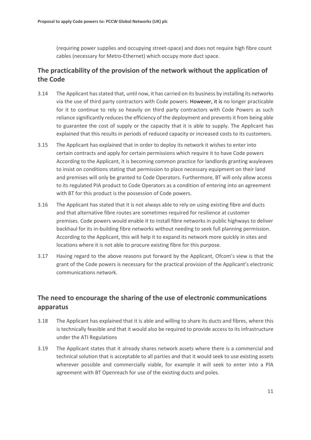(requiring power supplies and occupying street-space) and does not require high fibre count cables (necessary for Metro-Ethernet) which occupy more duct space.

### **The practicability of the provision of the network without the application of the Code**

- 3.14 The Applicant has stated that, until now, it has carried on its business by installing its networks via the use of third party contractors with Code powers. However, it is no longer practicable for it to continue to rely so heavily on third party contractors with Code Powers as such reliance significantly reduces the efficiency of the deployment and prevents it from being able to guarantee the cost of supply or the capacity that it is able to supply. The Applicant has explained that this results in periods of reduced capacity or increased costs to its customers.
- 3.15 The Applicant has explained that in order to deploy its network it wishes to enter into certain contracts and apply for certain permissions which require it to have Code powers According to the Applicant, it is becoming common practice for landlords granting wayleaves to insist on conditions stating that permission to place necessary equipment on their land and premises will only be granted to Code Operators. Furthermore, BT will only allow access to its regulated PIA product to Code Operators as a condition of entering into an agreement with BT for this product is the possession of Code powers.
- 3.16 The Applicant has stated that it is not always able to rely on using existing fibre and ducts and that alternative fibre routes are sometimes required for resilience at customer premises. Code powers would enable it to install fibre networks in public highways to deliver backhaul for its in-building fibre networks without needing to seek full planning permission. According to the Applicant, this will help it to expand its network more quickly in sites and locations where it is not able to procure existing fibre for this purpose.
- 3.17 Having regard to the above reasons put forward by the Applicant, Ofcom's view is that the grant of the Code powers is necessary for the practical provision of the Applicant's electronic communications network.

### **The need to encourage the sharing of the use of electronic communications apparatus**

- 3.18 The Applicant has explained that it is able and willing to share its ducts and fibres, where this is technically feasible and that it would also be required to provide access to its infrastructure under the ATI Regulations
- 3.19 The Applicant states that it already shares network assets where there is a commercial and technical solution that is acceptable to all parties and that it would seek to use existing assets wherever possible and commercially viable, for example it will seek to enter into a PIA agreement with BT Openreach for use of the existing ducts and poles.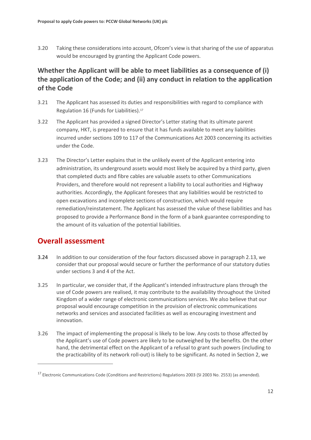3.20 Taking these considerations into account, Ofcom's view is that sharing of the use of apparatus would be encouraged by granting the Applicant Code powers.

## **Whether the Applicant will be able to meet liabilities as a consequence of (i) the application of the Code; and (ii) any conduct in relation to the application of the Code**

- 3.21 The Applicant has assessed its duties and responsibilities with regard to compliance with Regulation 16 (Funds for Liabilities). 17
- 3.22 The Applicant has provided a signed Director's Letter stating that its ultimate parent company, HKT, is prepared to ensure that it has funds available to meet any liabilities incurred under sections 109 to 117 of the Communications Act 2003 concerning its activities under the Code.
- 3.23 The Director's Letter explains that in the unlikely event of the Applicant entering into administration, its underground assets would most likely be acquired by a third party, given that completed ducts and fibre cables are valuable assets to other Communications Providers, and therefore would not represent a liability to Local authorities and Highway authorities. Accordingly, the Applicant foresees that any liabilities would be restricted to open excavations and incomplete sections of construction, which would require remediation/reinstatement. The Applicant has assessed the value of these liabilities and has proposed to provide a Performance Bond in the form of a bank guarantee corresponding to the amount of its valuation of the potential liabilities.

# **Overall assessment**

- 3.24 In addition to our consideration of the four factors discussed above in paragraph 2.13, we consider that our proposal would secure or further the performance of our statutory duties under sections 3 and 4 of the Act.
- 3.25 In particular, we consider that, if the Applicant's intended infrastructure plans through the use of Code powers are realised, it may contribute to the availability throughout the United Kingdom of a wider range of electronic communications services. We also believe that our proposal would encourage competition in the provision of electronic communications networks and services and associated facilities as well as encouraging investment and innovation.
- 3.26 The impact of implementing the proposal is likely to be low. Any costs to those affected by the Applicant's use of Code powers are likely to be outweighed by the benefits. On the other hand, the detrimental effect on the Applicant of a refusal to grant such powers (including to the practicability of its network roll-out) is likely to be significant. As noted in Section 2, we

<sup>&</sup>lt;sup>17</sup> Electronic Communications Code (Conditions and Restrictions) Regulations 2003 (SI 2003 No. 2553) (as amended).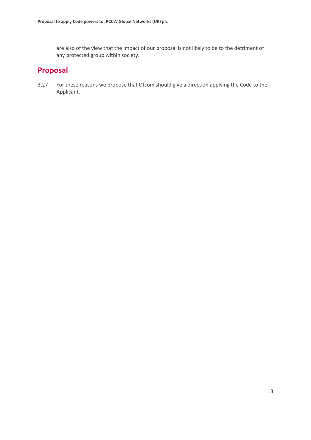are also of the view that the impact of our proposal is not likely to be to the detriment of any protected group within society.

## **Proposal**

3.27 For these reasons we propose that Ofcom should give a direction applying the Code to the Applicant.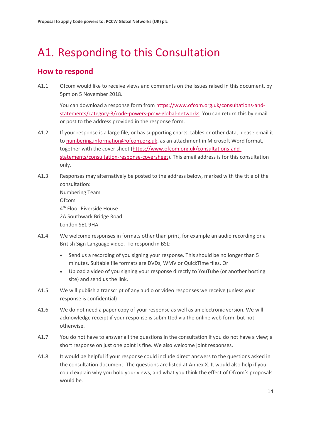# <span id="page-16-0"></span>A1. Responding to this Consultation

## **How to respond**

A1.1 Ofcom would like to receive views and comments on the issues raised in this document, by 5pm on 5 November 2018.

You can download a response form from [https://www.ofcom.org.uk/consultations-and](https://www.ofcom.org.uk/consultations-and-statements/category-3/code-powers-pccw-global-networks)[statements/category-3/code-powers-pccw-global-networks.](https://www.ofcom.org.uk/consultations-and-statements/category-3/code-powers-pccw-global-networks) You can return this by email or post to the address provided in the response form.

- A1.2 If your response is a large file, or has supporting charts, tables or other data, please email it t[o numbering.information@ofcom.org.uk,](mailto:numbering.information@ofcom.org.uk) as an attachment in Microsoft Word format, together with the cover sheet [\(https://www.ofcom.org.uk/consultations-and](https://www.ofcom.org.uk/consultations-and-statements/consultation-response-coversheet)[statements/consultation-response-coversheet\)](https://www.ofcom.org.uk/consultations-and-statements/consultation-response-coversheet). This email address is for this consultation only.
- A1.3 Responses may alternatively be posted to the address below, marked with the title of the consultation: Numbering Team Ofcom 4 th Floor Riverside House 2A Southwark Bridge Road London SE1 9HA
- A1.4 We welcome responses in formats other than print, for example an audio recording or a British Sign Language video. To respond in BSL:
	- Send us a recording of you signing your response. This should be no longer than 5 minutes. Suitable file formats are DVDs, WMV or QuickTime files. Or
	- Upload a video of you signing your response directly to YouTube (or another hosting site) and send us the link.
- A1.5 We will publish a transcript of any audio or video responses we receive (unless your response is confidential)
- A1.6 We do not need a paper copy of your response as well as an electronic version. We will acknowledge receipt if your response is submitted via the online web form, but not otherwise.
- A1.7 You do not have to answer all the questions in the consultation if you do not have a view; a short response on just one point is fine. We also welcome joint responses.
- A1.8 It would be helpful if your response could include direct answers to the questions asked in the consultation document. The questions are listed at Annex X. It would also help if you could explain why you hold your views, and what you think the effect of Ofcom's proposals would be.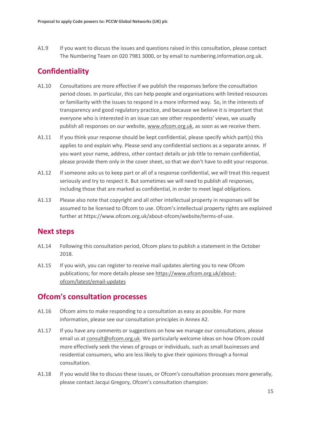A1.9 If you want to discuss the issues and questions raised in this consultation, please contact The Numbering Team on 020 7981 3000, or by email to numbering.information.org.uk.

## **Confidentiality**

- A1.10 Consultations are more effective if we publish the responses before the consultation period closes. In particular, this can help people and organisations with limited resources or familiarity with the issues to respond in a more informed way. So, in the interests of transparency and good regulatory practice, and because we believe it is important that everyone who is interested in an issue can see other respondents' views, we usually publish all responses on our website, [www.ofcom.org.uk,](http://www.ofcom.org.uk/) as soon as we receive them.
- A1.11 If you think your response should be kept confidential, please specify which part(s) this applies to and explain why. Please send any confidential sections as a separate annex. If you want your name, address, other contact details or job title to remain confidential, please provide them only in the cover sheet, so that we don't have to edit your response.
- A1.12 If someone asks us to keep part or all of a response confidential, we will treat this request seriously and try to respect it. But sometimes we will need to publish all responses, including those that are marked as confidential, in order to meet legal obligations.
- A1.13 Please also note that copyright and all other intellectual property in responses will be assumed to be licensed to Ofcom to use. Ofcom's intellectual property rights are explained further at https://www.ofcom.org.uk/about-ofcom/website/terms-of-use.

### **Next steps**

- A1.14 Following this consultation period, Ofcom plans to publish a statement in the October 2018.
- A1.15 If you wish, you can register to receive mail updates alerting you to new Ofcom publications; for more details please se[e https://www.ofcom.org.uk/about](https://www.ofcom.org.uk/about-ofcom/latest/email-updates)[ofcom/latest/email-updates](https://www.ofcom.org.uk/about-ofcom/latest/email-updates)

## **Ofcom's consultation processes**

- A1.16 Ofcom aims to make responding to a consultation as easy as possible. For more information, please see our consultation principles in Annex A2.
- A1.17 If you have any comments or suggestions on how we manage our consultations, please email us a[t consult@ofcom.org.uk.](mailto:consult@ofcom.org.uk) We particularly welcome ideas on how Ofcom could more effectively seek the views of groups or individuals, such as small businesses and residential consumers, who are less likely to give their opinions through a formal consultation.
- A1.18 If you would like to discuss these issues, or Ofcom's consultation processes more generally, please contact Jacqui Gregory, Ofcom's consultation champion: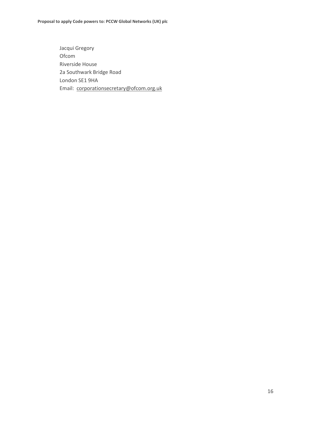Jacqui Gregory Ofcom Riverside House 2a Southwark Bridge Road London SE1 9HA Email: [corporationsecretary@ofcom.org.uk](mailto:corporationsecretary@ofcom.org.uk)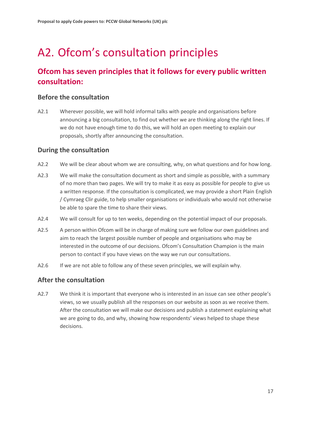# <span id="page-19-0"></span>A2. Ofcom's consultation principles

# **Ofcom has seven principles that it follows for every public written consultation:**

#### **Before the consultation**

A2.1 Wherever possible, we will hold informal talks with people and organisations before announcing a big consultation, to find out whether we are thinking along the right lines. If we do not have enough time to do this, we will hold an open meeting to explain our proposals, shortly after announcing the consultation.

### **During the consultation**

- A2.2 We will be clear about whom we are consulting, why, on what questions and for how long.
- A2.3 We will make the consultation document as short and simple as possible, with a summary of no more than two pages. We will try to make it as easy as possible for people to give us a written response. If the consultation is complicated, we may provide a short Plain English / Cymraeg Clir guide, to help smaller organisations or individuals who would not otherwise be able to spare the time to share their views.
- A2.4 We will consult for up to ten weeks, depending on the potential impact of our proposals.
- A2.5 A person within Ofcom will be in charge of making sure we follow our own guidelines and aim to reach the largest possible number of people and organisations who may be interested in the outcome of our decisions. Ofcom's Consultation Champion is the main person to contact if you have views on the way we run our consultations.
- A2.6 If we are not able to follow any of these seven principles, we will explain why.

### **After the consultation**

A2.7 We think it is important that everyone who is interested in an issue can see other people's views, so we usually publish all the responses on our website as soon as we receive them. After the consultation we will make our decisions and publish a statement explaining what we are going to do, and why, showing how respondents' views helped to shape these decisions.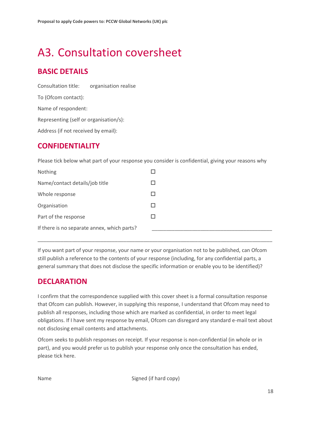# <span id="page-20-0"></span>A3. Consultation coversheet

# **BASIC DETAILS**

Consultation title: organisation realise To (Ofcom contact): Name of respondent: Representing (self or organisation/s): Address (if not received by email):

## **CONFIDENTIALITY**

Please tick below what part of your response you consider is confidential, giving your reasons why

| Nothing                                     |  |
|---------------------------------------------|--|
| Name/contact details/job title              |  |
| Whole response                              |  |
| Organisation                                |  |
| Part of the response                        |  |
| If there is no separate annex, which parts? |  |

If you want part of your response, your name or your organisation not to be published, can Ofcom still publish a reference to the contents of your response (including, for any confidential parts, a general summary that does not disclose the specific information or enable you to be identified)?

\_\_\_\_\_\_\_\_\_\_\_\_\_\_\_\_\_\_\_\_\_\_\_\_\_\_\_\_\_\_\_\_\_\_\_\_\_\_\_\_\_\_\_\_\_\_\_\_\_\_\_\_\_\_\_\_\_\_\_\_\_\_\_\_\_\_\_\_\_\_\_\_\_\_\_\_\_\_\_\_\_\_

## **DECLARATION**

I confirm that the correspondence supplied with this cover sheet is a formal consultation response that Ofcom can publish. However, in supplying this response, I understand that Ofcom may need to publish all responses, including those which are marked as confidential, in order to meet legal obligations. If I have sent my response by email, Ofcom can disregard any standard e-mail text about not disclosing email contents and attachments.

Ofcom seeks to publish responses on receipt. If your response is non-confidential (in whole or in part), and you would prefer us to publish your response only once the consultation has ended, please tick here.

Name Signed (if hard copy)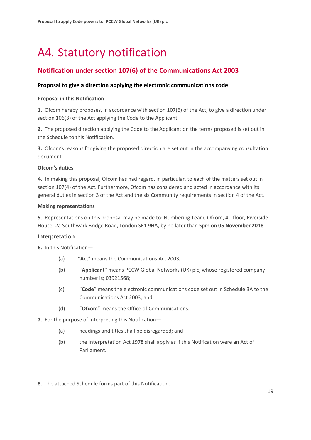# <span id="page-21-0"></span>A4. Statutory notification

## **Notification under section 107(6) of the Communications Act 2003**

#### **Proposal to give a direction applying the electronic communications code**

#### **Proposal in this Notification**

**1.** Ofcom hereby proposes, in accordance with section 107(6) of the Act, to give a direction under section 106(3) of the Act applying the Code to the Applicant.

**2.** The proposed direction applying the Code to the Applicant on the terms proposed is set out in the Schedule to this Notification.

**3.** Ofcom's reasons for giving the proposed direction are set out in the accompanying consultation document.

#### **Ofcom's duties**

**4.** In making this proposal, Ofcom has had regard, in particular, to each of the matters set out in section 107(4) of the Act. Furthermore, Ofcom has considered and acted in accordance with its general duties in section 3 of the Act and the six Community requirements in section 4 of the Act.

#### **Making representations**

**5.** Representations on this proposal may be made to: Numbering Team, Ofcom, 4<sup>th</sup> floor, Riverside House, 2a Southwark Bridge Road, London SE1 9HA, by no later than 5pm on **05 November 2018**

#### **Interpretation**

**6.** In this Notification—

- (a) "**Act**" means the Communications Act 2003;
- (b) "**Applicant**" means PCCW Global Networks (UK) plc, whose registered company number is; 03921568;
- (c) "**Code**" means the electronic communications code set out in Schedule 3A to the Communications Act 2003; and
- (d) "**Ofcom**" means the Office of Communications.
- **7.** For the purpose of interpreting this Notification—
	- (a) headings and titles shall be disregarded; and
	- (b) the Interpretation Act 1978 shall apply as if this Notification were an Act of Parliament.

**8.** The attached Schedule forms part of this Notification.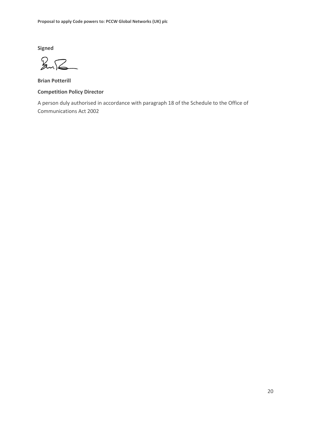**Signed**

 $2\sqrt{2}$ 

**Brian Potterill Competition Policy Director**

A person duly authorised in accordance with paragraph 18 of the Schedule to the Office of Communications Act 2002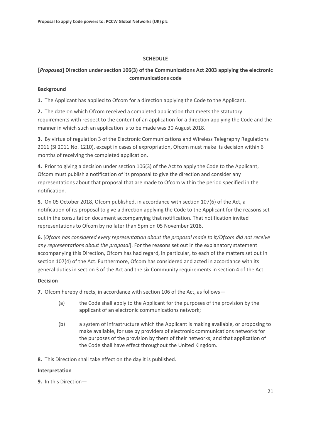#### **SCHEDULE**

### **[***Proposed***] Direction under section 106(3) of the Communications Act 2003 applying the electronic communications code**

#### **Background**

**1.** The Applicant has applied to Ofcom for a direction applying the Code to the Applicant.

**2.** The date on which Ofcom received a completed application that meets the statutory requirements with respect to the content of an application for a direction applying the Code and the manner in which such an application is to be made was 30 August 2018.

**3.** By virtue of regulation 3 of the Electronic Communications and Wireless Telegraphy Regulations 2011 (SI 2011 No. 1210), except in cases of expropriation, Ofcom must make its decision within 6 months of receiving the completed application.

**4.** Prior to giving a decision under section 106(3) of the Act to apply the Code to the Applicant, Ofcom must publish a notification of its proposal to give the direction and consider any representations about that proposal that are made to Ofcom within the period specified in the notification.

**5.** On 05 October 2018, Ofcom published, in accordance with section 107(6) of the Act, a notification of its proposal to give a direction applying the Code to the Applicant for the reasons set out in the consultation document accompanying that notification. That notification invited representations to Ofcom by no later than 5pm on 05 November 2018.

**6.** [*Ofcom has considered every representation about the proposal made to it/Ofcom did not receive any representations about the proposal*]. For the reasons set out in the explanatory statement accompanying this Direction, Ofcom has had regard, in particular, to each of the matters set out in section 107(4) of the Act. Furthermore, Ofcom has considered and acted in accordance with its general duties in section 3 of the Act and the six Community requirements in section 4 of the Act.

#### **Decision**

**7.** Ofcom hereby directs, in accordance with section 106 of the Act, as follows—

- (a) the Code shall apply to the Applicant for the purposes of the provision by the applicant of an electronic communications network;
- (b) a system of infrastructure which the Applicant is making available, or proposing to make available, for use by providers of electronic communications networks for the purposes of the provision by them of their networks; and that application of the Code shall have effect throughout the United Kingdom.

**8.** This Direction shall take effect on the day it is published.

#### **Interpretation**

**9.** In this Direction—